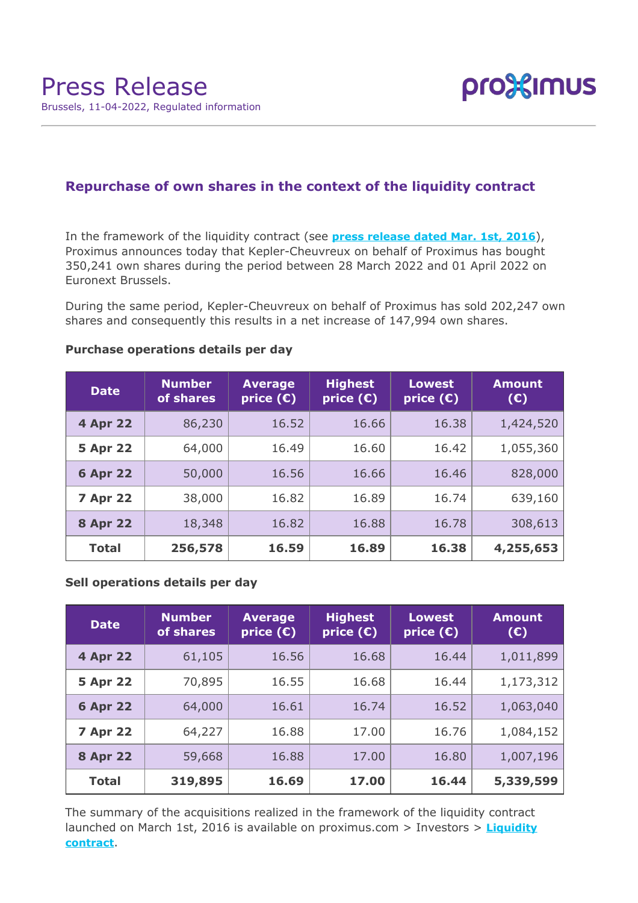

# **Repurchase of own shares in the context of the liquidity contract**

In the framework of the liquidity contract (see **[press release dated Mar. 1st, 2016](https://www.proximus.com/news/2016/proximus-enters-liquidity-contract.html)**), Proximus announces today that Kepler-Cheuvreux on behalf of Proximus has bought 350,241 own shares during the period between 28 March 2022 and 01 April 2022 on Euronext Brussels.

During the same period, Kepler-Cheuvreux on behalf of Proximus has sold 202,247 own shares and consequently this results in a net increase of 147,994 own shares.

| <b>Date</b>     | <b>Number</b><br>of shares | <b>Average</b><br>price $(E)$ | <b>Highest</b><br>price $(E)$ | <b>Lowest</b><br>price $(E)$ | <b>Amount</b><br>(E) |
|-----------------|----------------------------|-------------------------------|-------------------------------|------------------------------|----------------------|
| <b>4 Apr 22</b> | 86,230                     | 16.52                         | 16.66                         | 16.38                        | 1,424,520            |
| <b>5 Apr 22</b> | 64,000                     | 16.49                         | 16.60                         | 16.42                        | 1,055,360            |
| <b>6 Apr 22</b> | 50,000                     | 16.56                         | 16.66                         | 16.46                        | 828,000              |
| <b>7 Apr 22</b> | 38,000                     | 16.82                         | 16.89                         | 16.74                        | 639,160              |
| <b>8 Apr 22</b> | 18,348                     | 16.82                         | 16.88                         | 16.78                        | 308,613              |
| <b>Total</b>    | 256,578                    | 16.59                         | 16.89                         | 16.38                        | 4,255,653            |

### **Purchase operations details per day**

## **Sell operations details per day**

| <b>Date</b>     | <b>Number</b><br>of shares | <b>Average</b><br>price $(\epsilon)$ | <b>Highest</b><br>price $(\epsilon)$ | <b>Lowest</b><br>price $(\epsilon)$ | <b>Amount</b><br>(E) |
|-----------------|----------------------------|--------------------------------------|--------------------------------------|-------------------------------------|----------------------|
| 4 Apr 22        | 61,105                     | 16.56                                | 16.68                                | 16.44                               | 1,011,899            |
| <b>5 Apr 22</b> | 70,895                     | 16.55                                | 16.68                                | 16.44                               | 1,173,312            |
| <b>6 Apr 22</b> | 64,000                     | 16.61                                | 16.74                                | 16.52                               | 1,063,040            |
| <b>7 Apr 22</b> | 64,227                     | 16.88                                | 17.00                                | 16.76                               | 1,084,152            |
| <b>8 Apr 22</b> | 59,668                     | 16.88                                | 17.00                                | 16.80                               | 1,007,196            |
| <b>Total</b>    | 319,895                    | 16.69                                | 17.00                                | 16.44                               | 5,339,599            |

The summary of the acquisitions realized in the framework of the liquidity contract launched on March 1st, 2016 is available on proximus.com > Investors > **[Liquidity](https://www.proximus.com/en/investors/liquidity-contract.html) [contract](https://www.proximus.com/en/investors/liquidity-contract.html)**.